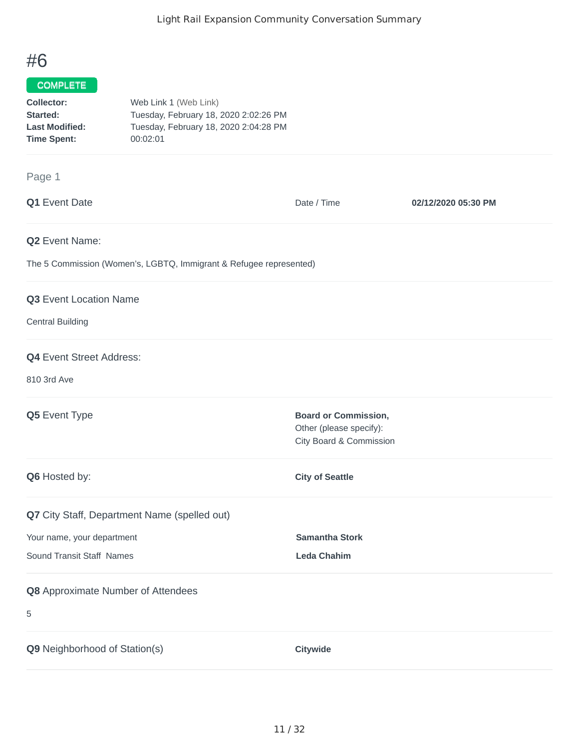## #6

## COMPLETE

| Collector:            | Web Link 1 (Web Link)                 |
|-----------------------|---------------------------------------|
| Started:              | Tuesday, February 18, 2020 2:02:26 PM |
| <b>Last Modified:</b> | Tuesday, February 18, 2020 2:04:28 PM |
| <b>Time Spent:</b>    | 00:02:01                              |

## Page 1

| Q1 Event Date                                                      | Date / Time                                                                       | 02/12/2020 05:30 PM |  |
|--------------------------------------------------------------------|-----------------------------------------------------------------------------------|---------------------|--|
| <b>Q2</b> Event Name:                                              |                                                                                   |                     |  |
| The 5 Commission (Women's, LGBTQ, Immigrant & Refugee represented) |                                                                                   |                     |  |
| Q3 Event Location Name                                             |                                                                                   |                     |  |
| <b>Central Building</b>                                            |                                                                                   |                     |  |
| <b>Q4</b> Event Street Address:                                    |                                                                                   |                     |  |
| 810 3rd Ave                                                        |                                                                                   |                     |  |
| Q5 Event Type                                                      | <b>Board or Commission,</b><br>Other (please specify):<br>City Board & Commission |                     |  |
| Q6 Hosted by:                                                      | <b>City of Seattle</b>                                                            |                     |  |
| Q7 City Staff, Department Name (spelled out)                       |                                                                                   |                     |  |
| Your name, your department                                         | <b>Samantha Stork</b>                                                             |                     |  |
| Sound Transit Staff Names                                          | <b>Leda Chahim</b>                                                                |                     |  |
| Q8 Approximate Number of Attendees                                 |                                                                                   |                     |  |
| 5                                                                  |                                                                                   |                     |  |
| Q9 Neighborhood of Station(s)                                      | Citywide                                                                          |                     |  |